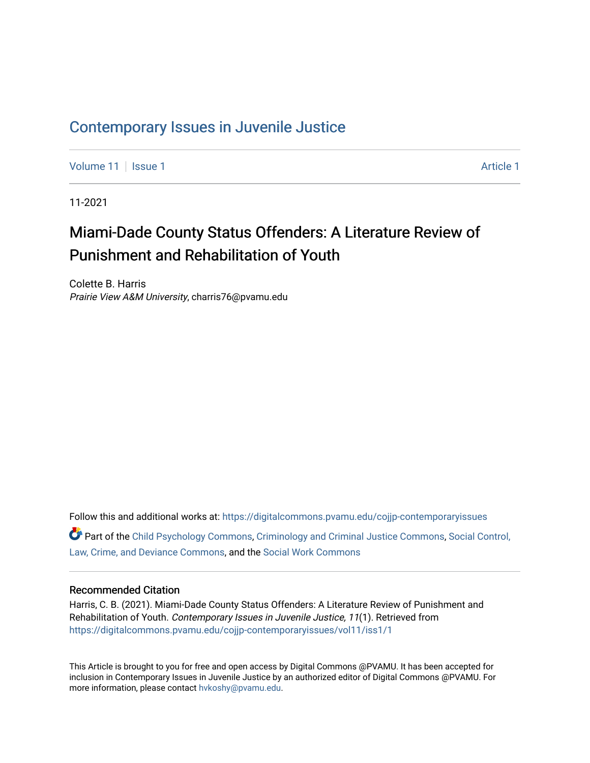# [Contemporary Issues in Juvenile Justice](https://digitalcommons.pvamu.edu/cojjp-contemporaryissues)

[Volume 11](https://digitalcommons.pvamu.edu/cojjp-contemporaryissues/vol11) | [Issue 1](https://digitalcommons.pvamu.edu/cojjp-contemporaryissues/vol11/iss1) [Article 1](https://digitalcommons.pvamu.edu/cojjp-contemporaryissues/vol11/iss1/1) Article 1 Article 1 Article 1 Article 1 Article 1 Article 1 Article 1 Article 1

11-2021

# Miami-Dade County Status Offenders: A Literature Review of Punishment and Rehabilitation of Youth

Colette B. Harris Prairie View A&M University, charris76@pvamu.edu

Follow this and additional works at: [https://digitalcommons.pvamu.edu/cojjp-contemporaryissues](https://digitalcommons.pvamu.edu/cojjp-contemporaryissues?utm_source=digitalcommons.pvamu.edu%2Fcojjp-contemporaryissues%2Fvol11%2Fiss1%2F1&utm_medium=PDF&utm_campaign=PDFCoverPages)  Part of the [Child Psychology Commons,](http://network.bepress.com/hgg/discipline/1023?utm_source=digitalcommons.pvamu.edu%2Fcojjp-contemporaryissues%2Fvol11%2Fiss1%2F1&utm_medium=PDF&utm_campaign=PDFCoverPages) [Criminology and Criminal Justice Commons](http://network.bepress.com/hgg/discipline/367?utm_source=digitalcommons.pvamu.edu%2Fcojjp-contemporaryissues%2Fvol11%2Fiss1%2F1&utm_medium=PDF&utm_campaign=PDFCoverPages), [Social Control,](http://network.bepress.com/hgg/discipline/429?utm_source=digitalcommons.pvamu.edu%2Fcojjp-contemporaryissues%2Fvol11%2Fiss1%2F1&utm_medium=PDF&utm_campaign=PDFCoverPages)  [Law, Crime, and Deviance Commons](http://network.bepress.com/hgg/discipline/429?utm_source=digitalcommons.pvamu.edu%2Fcojjp-contemporaryissues%2Fvol11%2Fiss1%2F1&utm_medium=PDF&utm_campaign=PDFCoverPages), and the [Social Work Commons](http://network.bepress.com/hgg/discipline/713?utm_source=digitalcommons.pvamu.edu%2Fcojjp-contemporaryissues%2Fvol11%2Fiss1%2F1&utm_medium=PDF&utm_campaign=PDFCoverPages)

### Recommended Citation

Harris, C. B. (2021). Miami-Dade County Status Offenders: A Literature Review of Punishment and Rehabilitation of Youth. Contemporary Issues in Juvenile Justice, 11(1). Retrieved from [https://digitalcommons.pvamu.edu/cojjp-contemporaryissues/vol11/iss1/1](https://digitalcommons.pvamu.edu/cojjp-contemporaryissues/vol11/iss1/1?utm_source=digitalcommons.pvamu.edu%2Fcojjp-contemporaryissues%2Fvol11%2Fiss1%2F1&utm_medium=PDF&utm_campaign=PDFCoverPages) 

This Article is brought to you for free and open access by Digital Commons @PVAMU. It has been accepted for inclusion in Contemporary Issues in Juvenile Justice by an authorized editor of Digital Commons @PVAMU. For more information, please contact [hvkoshy@pvamu.edu.](mailto:hvkoshy@pvamu.edu)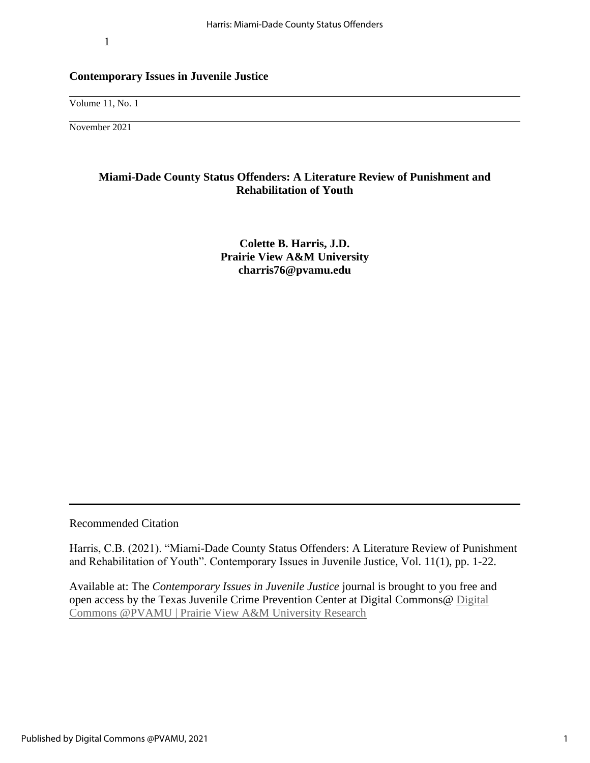1

### **Contemporary Issues in Juvenile Justice**

Volume 11, No. 1

November 2021

# **Miami-Dade County Status Offenders: A Literature Review of Punishment and Rehabilitation of Youth**

**Colette B. Harris, J.D. Prairie View A&M University [charris76@pvamu.edu](mailto:charris76@pvamu.edu)**

Recommended Citation

Harris, C.B. (2021). "Miami-Dade County Status Offenders: A Literature Review of Punishment and Rehabilitation of Youth". Contemporary Issues in Juvenile Justice, Vol. 11(1), pp. 1-22.

Available at: The *Contemporary Issues in Juvenile Justice* journal is brought to you free and open access by the Texas Juvenile Crime Prevention Center at Digital Commons@ [Digital](https://digitalcommons.pvamu.edu/)  [Commons @PVAMU | Prairie View A&M University Research](https://digitalcommons.pvamu.edu/)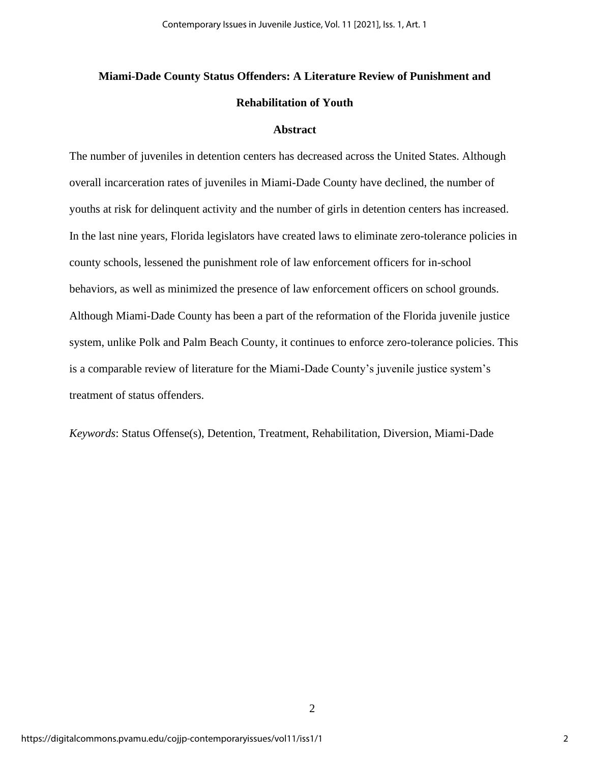# **Miami-Dade County Status Offenders: A Literature Review of Punishment and Rehabilitation of Youth**

### **Abstract**

The number of juveniles in detention centers has decreased across the United States. Although overall incarceration rates of juveniles in Miami-Dade County have declined, the number of youths at risk for delinquent activity and the number of girls in detention centers has increased. In the last nine years, Florida legislators have created laws to eliminate zero-tolerance policies in county schools, lessened the punishment role of law enforcement officers for in-school behaviors, as well as minimized the presence of law enforcement officers on school grounds. Although Miami-Dade County has been a part of the reformation of the Florida juvenile justice system, unlike Polk and Palm Beach County, it continues to enforce zero-tolerance policies. This is a comparable review of literature for the Miami-Dade County's juvenile justice system's treatment of status offenders.

*Keywords*: Status Offense(s), Detention, Treatment, Rehabilitation, Diversion, Miami-Dade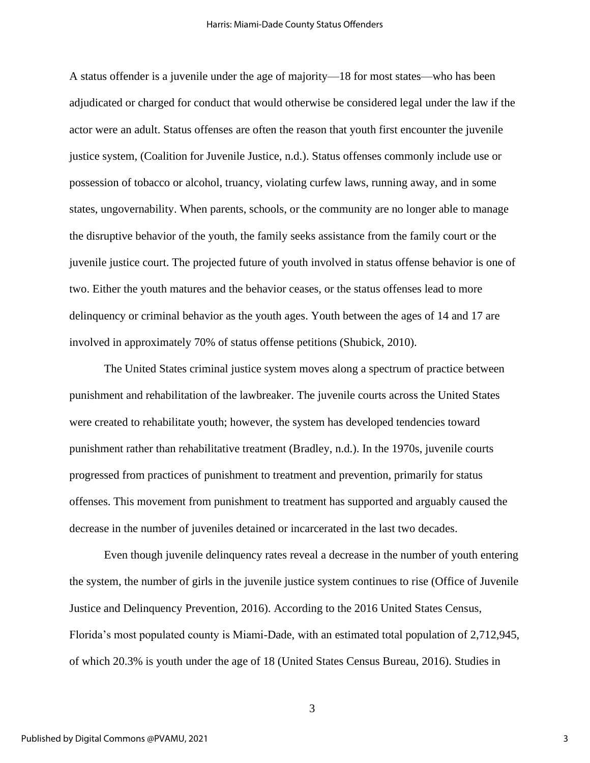A status offender is a juvenile under the age of majority—18 for most states—who has been adjudicated or charged for conduct that would otherwise be considered legal under the law if the actor were an adult. Status offenses are often the reason that youth first encounter the juvenile justice system, (Coalition for Juvenile Justice, n.d.). Status offenses commonly include use or possession of tobacco or alcohol, truancy, violating curfew laws, running away, and in some states, ungovernability. When parents, schools, or the community are no longer able to manage the disruptive behavior of the youth, the family seeks assistance from the family court or the juvenile justice court. The projected future of youth involved in status offense behavior is one of two. Either the youth matures and the behavior ceases, or the status offenses lead to more delinquency or criminal behavior as the youth ages. Youth between the ages of 14 and 17 are involved in approximately 70% of status offense petitions (Shubick, 2010).

The United States criminal justice system moves along a spectrum of practice between punishment and rehabilitation of the lawbreaker. The juvenile courts across the United States were created to rehabilitate youth; however, the system has developed tendencies toward punishment rather than rehabilitative treatment (Bradley, n.d.). In the 1970s, juvenile courts progressed from practices of punishment to treatment and prevention, primarily for status offenses. This movement from punishment to treatment has supported and arguably caused the decrease in the number of juveniles detained or incarcerated in the last two decades.

Even though juvenile delinquency rates reveal a decrease in the number of youth entering the system, the number of girls in the juvenile justice system continues to rise (Office of Juvenile Justice and Delinquency Prevention, 2016). According to the 2016 United States Census, Florida's most populated county is Miami-Dade, with an estimated total population of 2,712,945, of which 20.3% is youth under the age of 18 (United States Census Bureau, 2016). Studies in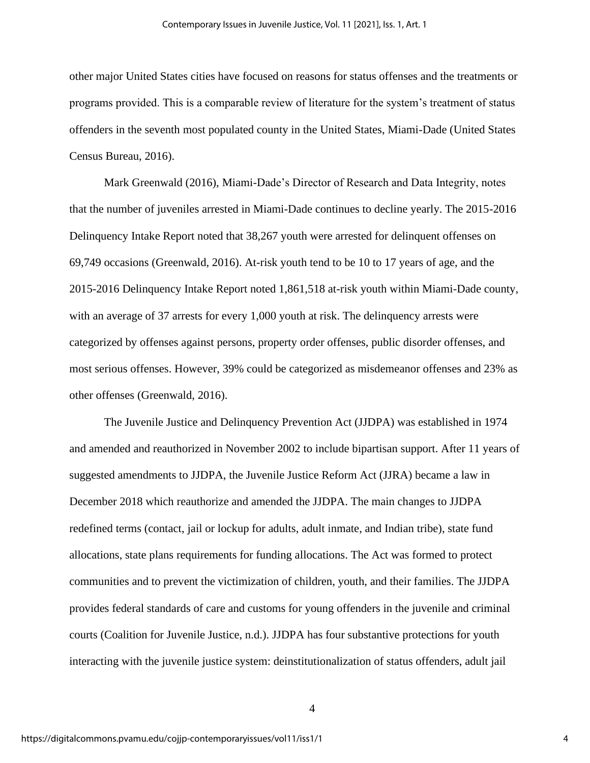other major United States cities have focused on reasons for status offenses and the treatments or programs provided. This is a comparable review of literature for the system's treatment of status offenders in the seventh most populated county in the United States, Miami-Dade (United States Census Bureau, 2016).

Mark Greenwald (2016), Miami-Dade's Director of Research and Data Integrity, notes that the number of juveniles arrested in Miami-Dade continues to decline yearly. The 2015-2016 Delinquency Intake Report noted that 38,267 youth were arrested for delinquent offenses on 69,749 occasions (Greenwald, 2016). At-risk youth tend to be 10 to 17 years of age, and the 2015-2016 Delinquency Intake Report noted 1,861,518 at-risk youth within Miami-Dade county, with an average of 37 arrests for every 1,000 youth at risk. The delinquency arrests were categorized by offenses against persons, property order offenses, public disorder offenses, and most serious offenses. However, 39% could be categorized as misdemeanor offenses and 23% as other offenses (Greenwald, 2016).

The Juvenile Justice and Delinquency Prevention Act (JJDPA) was established in 1974 and amended and reauthorized in November 2002 to include bipartisan support. After 11 years of suggested amendments to JJDPA, the Juvenile Justice Reform Act (JJRA) became a law in December 2018 which reauthorize and amended the JJDPA. The main changes to JJDPA redefined terms (contact, jail or lockup for adults, adult inmate, and Indian tribe), state fund allocations, state plans requirements for funding allocations. The Act was formed to protect communities and to prevent the victimization of children, youth, and their families. The JJDPA provides federal standards of care and customs for young offenders in the juvenile and criminal courts (Coalition for Juvenile Justice, n.d.). JJDPA has four substantive protections for youth interacting with the juvenile justice system: deinstitutionalization of status offenders, adult jail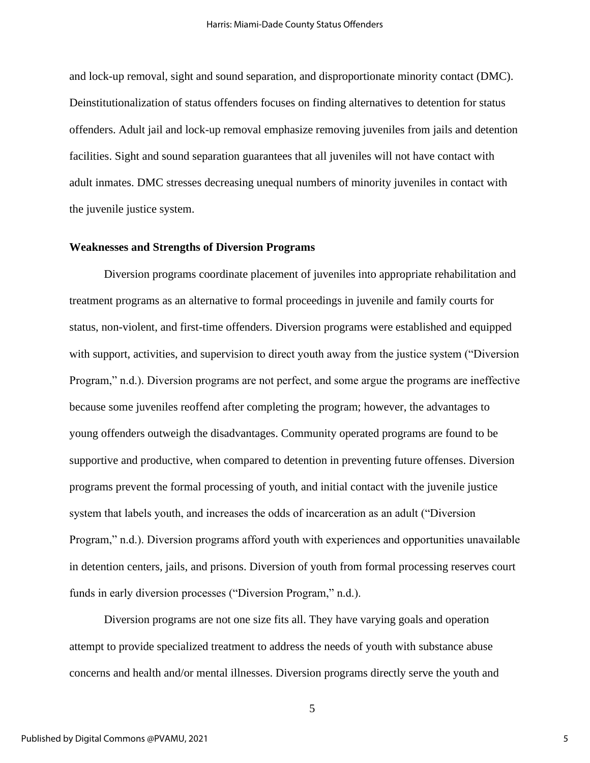and lock-up removal, sight and sound separation, and disproportionate minority contact (DMC). Deinstitutionalization of status offenders focuses on finding alternatives to detention for status offenders. Adult jail and lock-up removal emphasize removing juveniles from jails and detention facilities. Sight and sound separation guarantees that all juveniles will not have contact with adult inmates. DMC stresses decreasing unequal numbers of minority juveniles in contact with the juvenile justice system.

### **Weaknesses and Strengths of Diversion Programs**

Diversion programs coordinate placement of juveniles into appropriate rehabilitation and treatment programs as an alternative to formal proceedings in juvenile and family courts for status, non-violent, and first-time offenders. Diversion programs were established and equipped with support, activities, and supervision to direct youth away from the justice system ("Diversion Program," n.d.). Diversion programs are not perfect, and some argue the programs are ineffective because some juveniles reoffend after completing the program; however, the advantages to young offenders outweigh the disadvantages. Community operated programs are found to be supportive and productive, when compared to detention in preventing future offenses. Diversion programs prevent the formal processing of youth, and initial contact with the juvenile justice system that labels youth, and increases the odds of incarceration as an adult ("Diversion Program," n.d.). Diversion programs afford youth with experiences and opportunities unavailable in detention centers, jails, and prisons. Diversion of youth from formal processing reserves court funds in early diversion processes ("Diversion Program," n.d.).

Diversion programs are not one size fits all. They have varying goals and operation attempt to provide specialized treatment to address the needs of youth with substance abuse concerns and health and/or mental illnesses. Diversion programs directly serve the youth and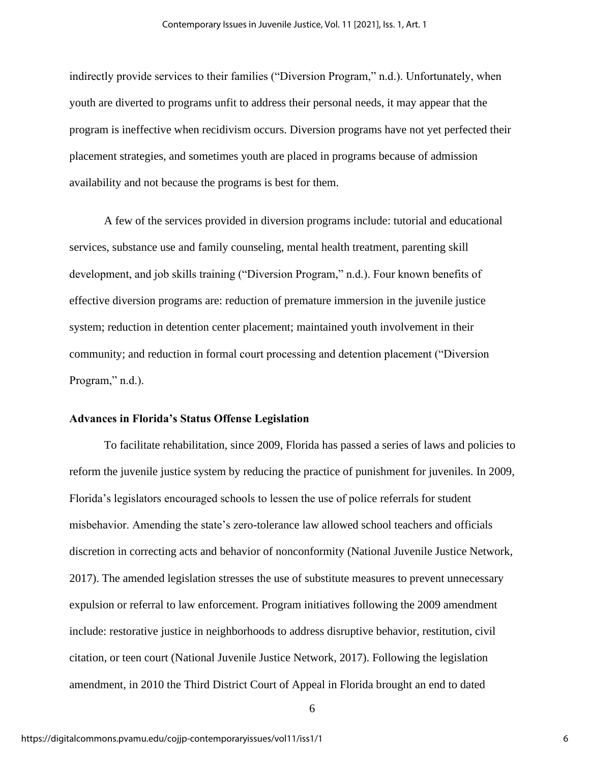indirectly provide services to their families ("Diversion Program," n.d.). Unfortunately, when youth are diverted to programs unfit to address their personal needs, it may appear that the program is ineffective when recidivism occurs. Diversion programs have not yet perfected their placement strategies, and sometimes youth are placed in programs because of admission availability and not because the programs is best for them.

A few of the services provided in diversion programs include: tutorial and educational services, substance use and family counseling, mental health treatment, parenting skill development, and job skills training ("Diversion Program," n.d.). Four known benefits of effective diversion programs are: reduction of premature immersion in the juvenile justice system; reduction in detention center placement; maintained youth involvement in their community; and reduction in formal court processing and detention placement ("Diversion Program," n.d.).

## **Advances in Florida's Status Offense Legislation**

To facilitate rehabilitation, since 2009, Florida has passed a series of laws and policies to reform the juvenile justice system by reducing the practice of punishment for juveniles. In 2009, Florida's legislators encouraged schools to lessen the use of police referrals for student misbehavior. Amending the state's zero-tolerance law allowed school teachers and officials discretion in correcting acts and behavior of nonconformity (National Juvenile Justice Network, 2017). The amended legislation stresses the use of substitute measures to prevent unnecessary expulsion or referral to law enforcement. Program initiatives following the 2009 amendment include: restorative justice in neighborhoods to address disruptive behavior, restitution, civil citation, or teen court (National Juvenile Justice Network, 2017). Following the legislation amendment, in 2010 the Third District Court of Appeal in Florida brought an end to dated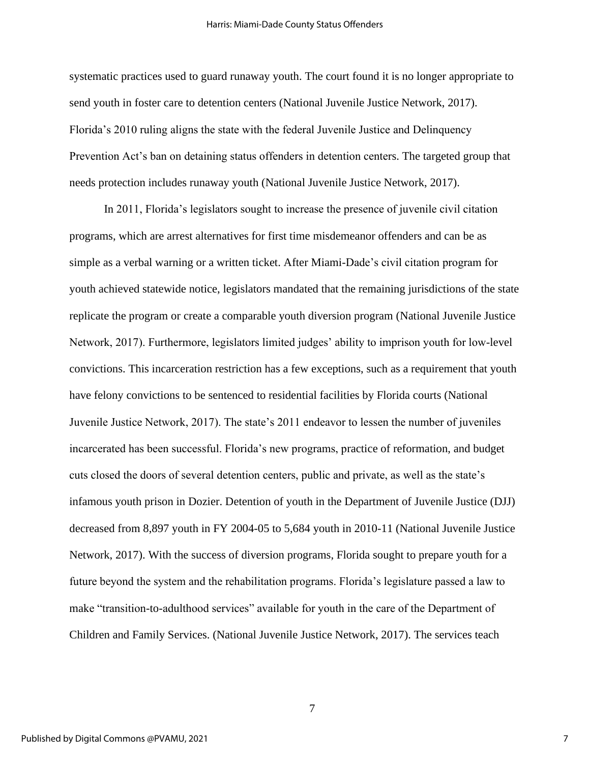systematic practices used to guard runaway youth. The court found it is no longer appropriate to send youth in foster care to detention centers (National Juvenile Justice Network, 2017). Florida's 2010 ruling aligns the state with the federal Juvenile Justice and Delinquency Prevention Act's ban on detaining status offenders in detention centers. The targeted group that needs protection includes runaway youth (National Juvenile Justice Network, 2017).

In 2011, Florida's legislators sought to increase the presence of juvenile civil citation programs, which are arrest alternatives for first time misdemeanor offenders and can be as simple as a verbal warning or a written ticket. After Miami-Dade's civil citation program for youth achieved statewide notice, legislators mandated that the remaining jurisdictions of the state replicate the program or create a comparable youth diversion program (National Juvenile Justice Network, 2017). Furthermore, legislators limited judges' ability to imprison youth for low-level convictions. This incarceration restriction has a few exceptions, such as a requirement that youth have felony convictions to be sentenced to residential facilities by Florida courts (National Juvenile Justice Network, 2017). The state's 2011 endeavor to lessen the number of juveniles incarcerated has been successful. Florida's new programs, practice of reformation, and budget cuts closed the doors of several detention centers, public and private, as well as the state's infamous youth prison in Dozier. Detention of youth in the Department of Juvenile Justice (DJJ) decreased from 8,897 youth in FY 2004-05 to 5,684 youth in 2010-11 (National Juvenile Justice Network, 2017). With the success of diversion programs, Florida sought to prepare youth for a future beyond the system and the rehabilitation programs. Florida's legislature passed a law to make "transition-to-adulthood services" available for youth in the care of the Department of Children and Family Services. (National Juvenile Justice Network, 2017). The services teach

7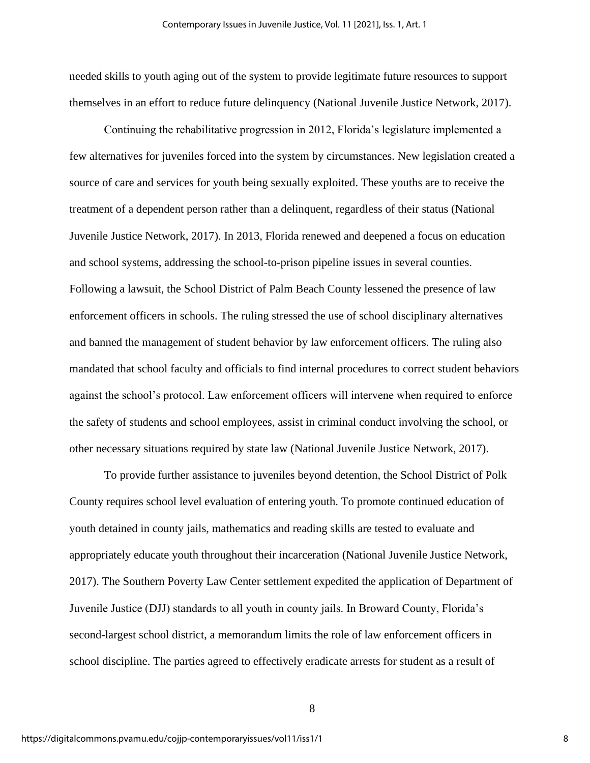needed skills to youth aging out of the system to provide legitimate future resources to support themselves in an effort to reduce future delinquency (National Juvenile Justice Network, 2017).

Continuing the rehabilitative progression in 2012, Florida's legislature implemented a few alternatives for juveniles forced into the system by circumstances. New legislation created a source of care and services for youth being sexually exploited. These youths are to receive the treatment of a dependent person rather than a delinquent, regardless of their status (National Juvenile Justice Network, 2017). In 2013, Florida renewed and deepened a focus on education and school systems, addressing the school-to-prison pipeline issues in several counties. Following a lawsuit, the School District of Palm Beach County lessened the presence of law enforcement officers in schools. The ruling stressed the use of school disciplinary alternatives and banned the management of student behavior by law enforcement officers. The ruling also mandated that school faculty and officials to find internal procedures to correct student behaviors against the school's protocol. Law enforcement officers will intervene when required to enforce the safety of students and school employees, assist in criminal conduct involving the school, or other necessary situations required by state law (National Juvenile Justice Network, 2017).

To provide further assistance to juveniles beyond detention, the School District of Polk County requires school level evaluation of entering youth. To promote continued education of youth detained in county jails, mathematics and reading skills are tested to evaluate and appropriately educate youth throughout their incarceration (National Juvenile Justice Network, 2017). The Southern Poverty Law Center settlement expedited the application of Department of Juvenile Justice (DJJ) standards to all youth in county jails. In Broward County, Florida's second-largest school district, a memorandum limits the role of law enforcement officers in school discipline. The parties agreed to effectively eradicate arrests for student as a result of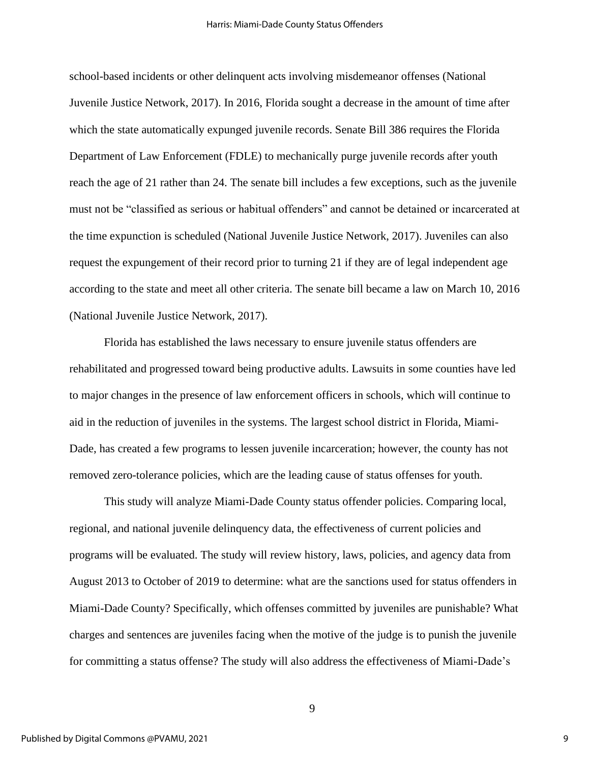school-based incidents or other delinquent acts involving misdemeanor offenses (National Juvenile Justice Network, 2017). In 2016, Florida sought a decrease in the amount of time after which the state automatically expunged juvenile records. Senate Bill 386 requires the Florida Department of Law Enforcement (FDLE) to mechanically purge juvenile records after youth reach the age of 21 rather than 24. The senate bill includes a few exceptions, such as the juvenile must not be "classified as serious or habitual offenders" and cannot be detained or incarcerated at the time expunction is scheduled (National Juvenile Justice Network, 2017). Juveniles can also request the expungement of their record prior to turning 21 if they are of legal independent age according to the state and meet all other criteria. The senate bill became a law on March 10, 2016 (National Juvenile Justice Network, 2017).

Florida has established the laws necessary to ensure juvenile status offenders are rehabilitated and progressed toward being productive adults. Lawsuits in some counties have led to major changes in the presence of law enforcement officers in schools, which will continue to aid in the reduction of juveniles in the systems. The largest school district in Florida, Miami-Dade, has created a few programs to lessen juvenile incarceration; however, the county has not removed zero-tolerance policies, which are the leading cause of status offenses for youth.

This study will analyze Miami-Dade County status offender policies. Comparing local, regional, and national juvenile delinquency data, the effectiveness of current policies and programs will be evaluated. The study will review history, laws, policies, and agency data from August 2013 to October of 2019 to determine: what are the sanctions used for status offenders in Miami-Dade County? Specifically, which offenses committed by juveniles are punishable? What charges and sentences are juveniles facing when the motive of the judge is to punish the juvenile for committing a status offense? The study will also address the effectiveness of Miami-Dade's

9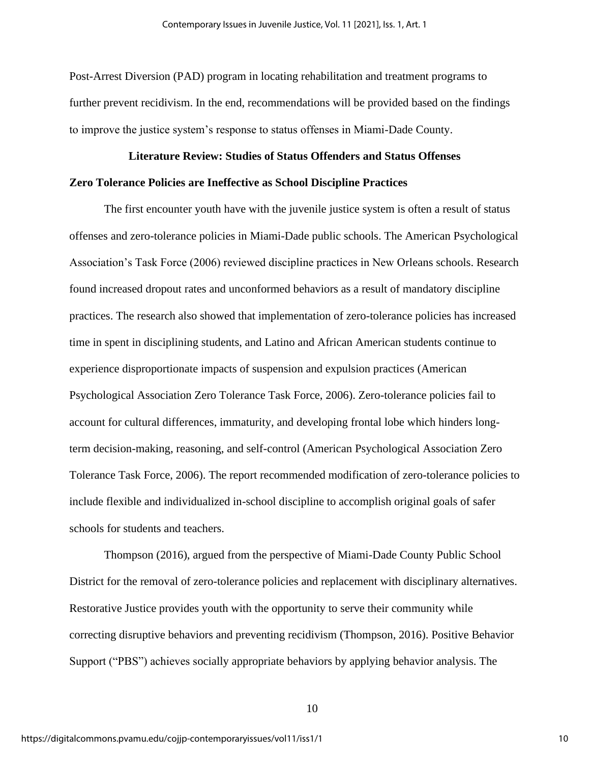Post-Arrest Diversion (PAD) program in locating rehabilitation and treatment programs to further prevent recidivism. In the end, recommendations will be provided based on the findings to improve the justice system's response to status offenses in Miami-Dade County.

# **Literature Review: Studies of Status Offenders and Status Offenses Zero Tolerance Policies are Ineffective as School Discipline Practices**

The first encounter youth have with the juvenile justice system is often a result of status offenses and zero-tolerance policies in Miami-Dade public schools. The American Psychological Association's Task Force (2006) reviewed discipline practices in New Orleans schools. Research found increased dropout rates and unconformed behaviors as a result of mandatory discipline practices. The research also showed that implementation of zero-tolerance policies has increased time in spent in disciplining students, and Latino and African American students continue to experience disproportionate impacts of suspension and expulsion practices (American Psychological Association Zero Tolerance Task Force, 2006). Zero-tolerance policies fail to account for cultural differences, immaturity, and developing frontal lobe which hinders longterm decision-making, reasoning, and self-control (American Psychological Association Zero Tolerance Task Force, 2006). The report recommended modification of zero-tolerance policies to include flexible and individualized in-school discipline to accomplish original goals of safer schools for students and teachers.

Thompson (2016), argued from the perspective of Miami-Dade County Public School District for the removal of zero-tolerance policies and replacement with disciplinary alternatives. Restorative Justice provides youth with the opportunity to serve their community while correcting disruptive behaviors and preventing recidivism (Thompson, 2016). Positive Behavior Support ("PBS") achieves socially appropriate behaviors by applying behavior analysis. The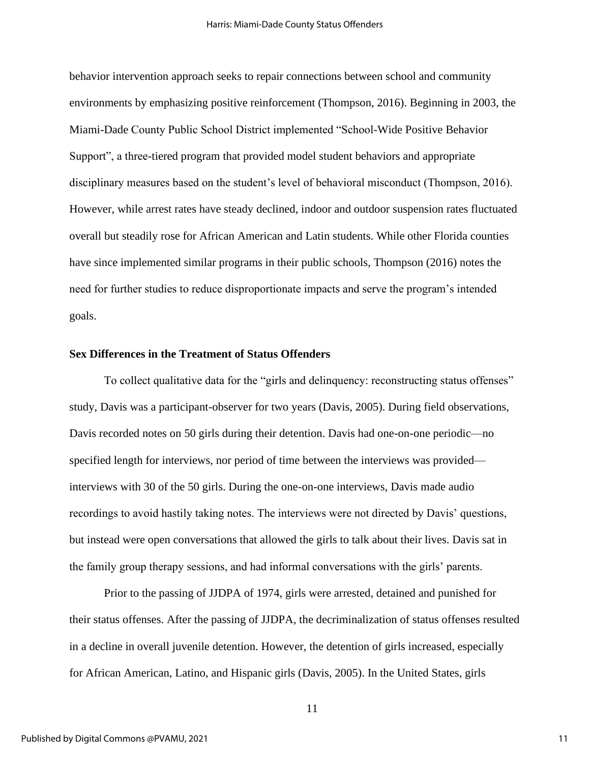behavior intervention approach seeks to repair connections between school and community environments by emphasizing positive reinforcement (Thompson, 2016). Beginning in 2003, the Miami-Dade County Public School District implemented "School-Wide Positive Behavior Support", a three-tiered program that provided model student behaviors and appropriate disciplinary measures based on the student's level of behavioral misconduct (Thompson, 2016). However, while arrest rates have steady declined, indoor and outdoor suspension rates fluctuated overall but steadily rose for African American and Latin students. While other Florida counties have since implemented similar programs in their public schools, Thompson (2016) notes the need for further studies to reduce disproportionate impacts and serve the program's intended goals.

### **Sex Differences in the Treatment of Status Offenders**

To collect qualitative data for the "girls and delinquency: reconstructing status offenses" study, Davis was a participant-observer for two years (Davis, 2005). During field observations, Davis recorded notes on 50 girls during their detention. Davis had one-on-one periodic—no specified length for interviews, nor period of time between the interviews was provided interviews with 30 of the 50 girls. During the one-on-one interviews, Davis made audio recordings to avoid hastily taking notes. The interviews were not directed by Davis' questions, but instead were open conversations that allowed the girls to talk about their lives. Davis sat in the family group therapy sessions, and had informal conversations with the girls' parents.

Prior to the passing of JJDPA of 1974, girls were arrested, detained and punished for their status offenses. After the passing of JJDPA, the decriminalization of status offenses resulted in a decline in overall juvenile detention. However, the detention of girls increased, especially for African American, Latino, and Hispanic girls (Davis, 2005). In the United States, girls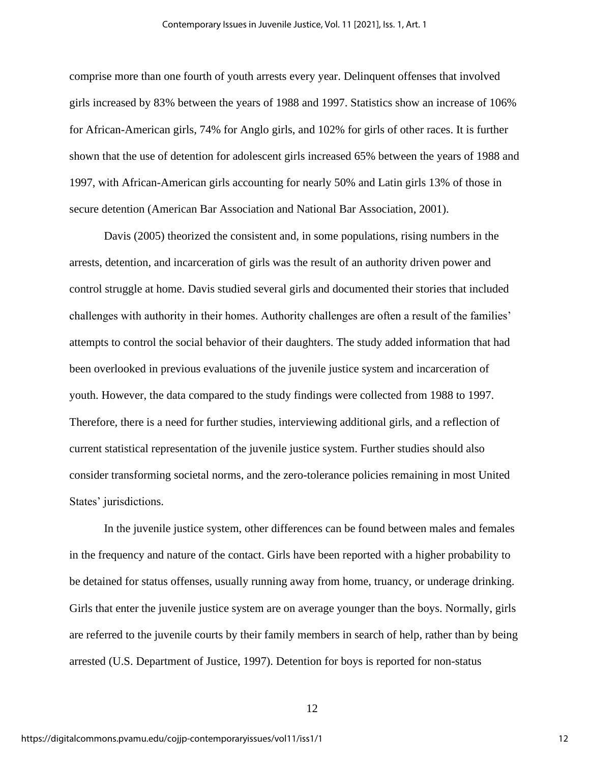comprise more than one fourth of youth arrests every year. Delinquent offenses that involved girls increased by 83% between the years of 1988 and 1997. Statistics show an increase of 106% for African-American girls, 74% for Anglo girls, and 102% for girls of other races. It is further shown that the use of detention for adolescent girls increased 65% between the years of 1988 and 1997, with African-American girls accounting for nearly 50% and Latin girls 13% of those in secure detention (American Bar Association and National Bar Association, 2001).

Davis (2005) theorized the consistent and, in some populations, rising numbers in the arrests, detention, and incarceration of girls was the result of an authority driven power and control struggle at home. Davis studied several girls and documented their stories that included challenges with authority in their homes. Authority challenges are often a result of the families' attempts to control the social behavior of their daughters. The study added information that had been overlooked in previous evaluations of the juvenile justice system and incarceration of youth. However, the data compared to the study findings were collected from 1988 to 1997. Therefore, there is a need for further studies, interviewing additional girls, and a reflection of current statistical representation of the juvenile justice system. Further studies should also consider transforming societal norms, and the zero-tolerance policies remaining in most United States' jurisdictions.

In the juvenile justice system, other differences can be found between males and females in the frequency and nature of the contact. Girls have been reported with a higher probability to be detained for status offenses, usually running away from home, truancy, or underage drinking. Girls that enter the juvenile justice system are on average younger than the boys. Normally, girls are referred to the juvenile courts by their family members in search of help, rather than by being arrested (U.S. Department of Justice, 1997). Detention for boys is reported for non-status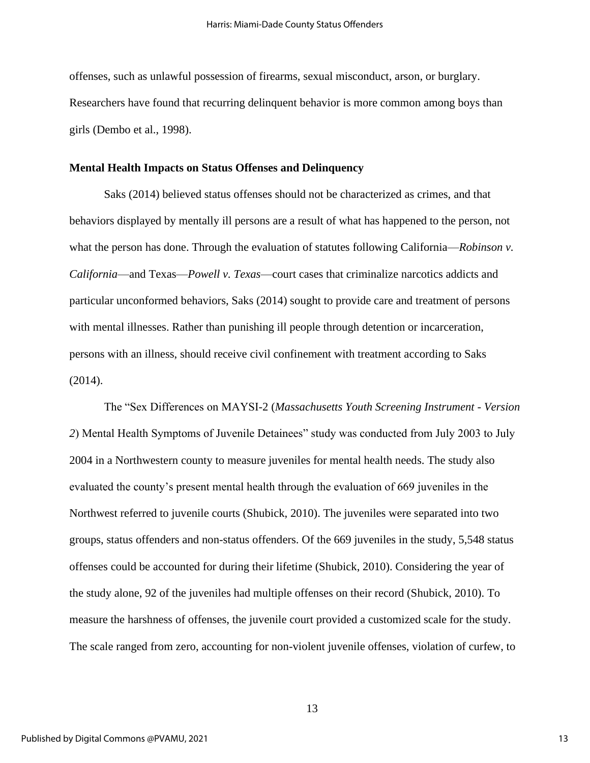offenses, such as unlawful possession of firearms, sexual misconduct, arson, or burglary. Researchers have found that recurring delinquent behavior is more common among boys than girls (Dembo et al., 1998).

#### **Mental Health Impacts on Status Offenses and Delinquency**

Saks (2014) believed status offenses should not be characterized as crimes, and that behaviors displayed by mentally ill persons are a result of what has happened to the person, not what the person has done. Through the evaluation of statutes following California—*Robinson v*. *California*—and Texas—*Powell v. Texas*—court cases that criminalize narcotics addicts and particular unconformed behaviors, Saks (2014) sought to provide care and treatment of persons with mental illnesses. Rather than punishing ill people through detention or incarceration, persons with an illness, should receive civil confinement with treatment according to Saks (2014).

The "Sex Differences on MAYSI-2 (*Massachusetts Youth Screening Instrument - Version 2*) Mental Health Symptoms of Juvenile Detainees" study was conducted from July 2003 to July 2004 in a Northwestern county to measure juveniles for mental health needs. The study also evaluated the county's present mental health through the evaluation of 669 juveniles in the Northwest referred to juvenile courts (Shubick, 2010). The juveniles were separated into two groups, status offenders and non-status offenders. Of the 669 juveniles in the study, 5,548 status offenses could be accounted for during their lifetime (Shubick, 2010). Considering the year of the study alone, 92 of the juveniles had multiple offenses on their record (Shubick, 2010). To measure the harshness of offenses, the juvenile court provided a customized scale for the study. The scale ranged from zero, accounting for non-violent juvenile offenses, violation of curfew, to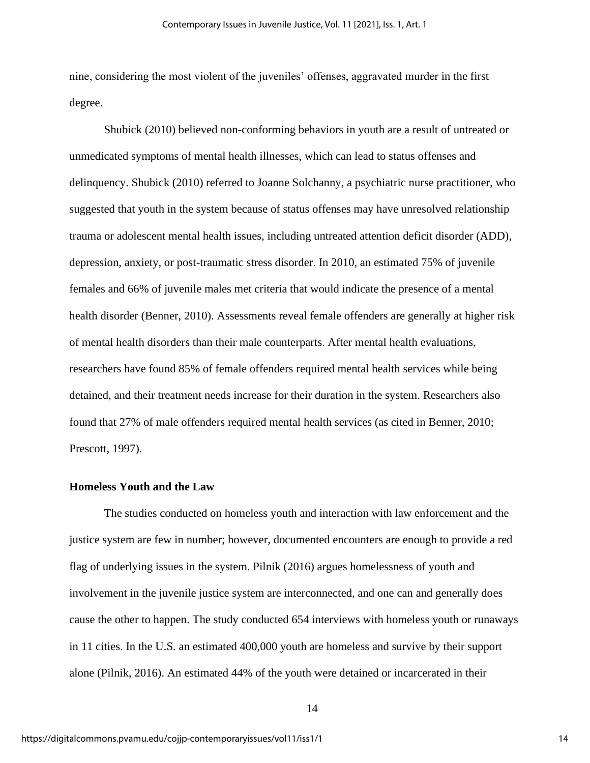nine, considering the most violent of the juveniles' offenses, aggravated murder in the first degree.

Shubick (2010) believed non-conforming behaviors in youth are a result of untreated or unmedicated symptoms of mental health illnesses, which can lead to status offenses and delinquency. Shubick (2010) referred to Joanne Solchanny, a psychiatric nurse practitioner, who suggested that youth in the system because of status offenses may have unresolved relationship trauma or adolescent mental health issues, including untreated attention deficit disorder (ADD), depression, anxiety, or post-traumatic stress disorder. In 2010, an estimated 75% of juvenile females and 66% of juvenile males met criteria that would indicate the presence of a mental health disorder (Benner, 2010). Assessments reveal female offenders are generally at higher risk of mental health disorders than their male counterparts. After mental health evaluations, researchers have found 85% of female offenders required mental health services while being detained, and their treatment needs increase for their duration in the system. Researchers also found that 27% of male offenders required mental health services (as cited in Benner, 2010; Prescott, 1997).

## **Homeless Youth and the Law**

The studies conducted on homeless youth and interaction with law enforcement and the justice system are few in number; however, documented encounters are enough to provide a red flag of underlying issues in the system. Pilnik (2016) argues homelessness of youth and involvement in the juvenile justice system are interconnected, and one can and generally does cause the other to happen. The study conducted 654 interviews with homeless youth or runaways in 11 cities. In the U.S. an estimated 400,000 youth are homeless and survive by their support alone (Pilnik, 2016). An estimated 44% of the youth were detained or incarcerated in their

<sup>14</sup>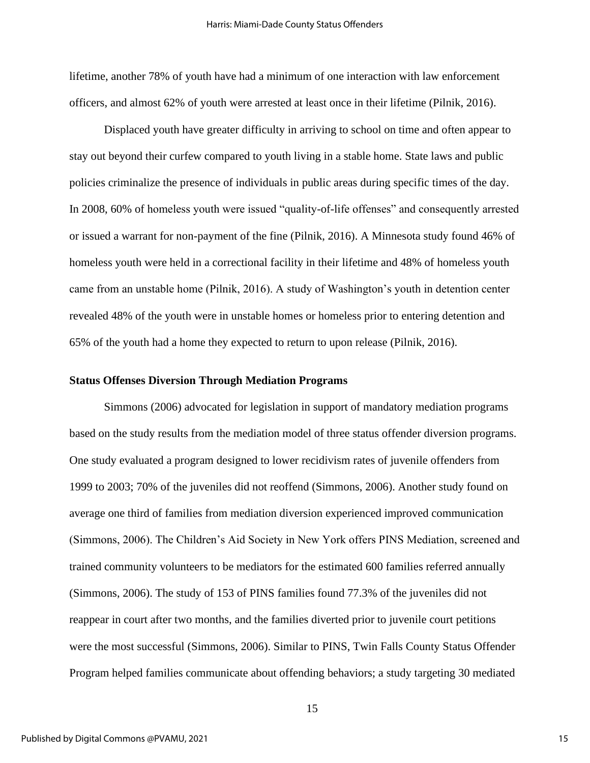lifetime, another 78% of youth have had a minimum of one interaction with law enforcement officers, and almost 62% of youth were arrested at least once in their lifetime (Pilnik, 2016).

Displaced youth have greater difficulty in arriving to school on time and often appear to stay out beyond their curfew compared to youth living in a stable home. State laws and public policies criminalize the presence of individuals in public areas during specific times of the day. In 2008, 60% of homeless youth were issued "quality-of-life offenses" and consequently arrested or issued a warrant for non-payment of the fine (Pilnik, 2016). A Minnesota study found 46% of homeless youth were held in a correctional facility in their lifetime and 48% of homeless youth came from an unstable home (Pilnik, 2016). A study of Washington's youth in detention center revealed 48% of the youth were in unstable homes or homeless prior to entering detention and 65% of the youth had a home they expected to return to upon release (Pilnik, 2016).

### **Status Offenses Diversion Through Mediation Programs**

Simmons (2006) advocated for legislation in support of mandatory mediation programs based on the study results from the mediation model of three status offender diversion programs. One study evaluated a program designed to lower recidivism rates of juvenile offenders from 1999 to 2003; 70% of the juveniles did not reoffend (Simmons, 2006). Another study found on average one third of families from mediation diversion experienced improved communication (Simmons, 2006). The Children's Aid Society in New York offers PINS Mediation, screened and trained community volunteers to be mediators for the estimated 600 families referred annually (Simmons, 2006). The study of 153 of PINS families found 77.3% of the juveniles did not reappear in court after two months, and the families diverted prior to juvenile court petitions were the most successful (Simmons, 2006). Similar to PINS, Twin Falls County Status Offender Program helped families communicate about offending behaviors; a study targeting 30 mediated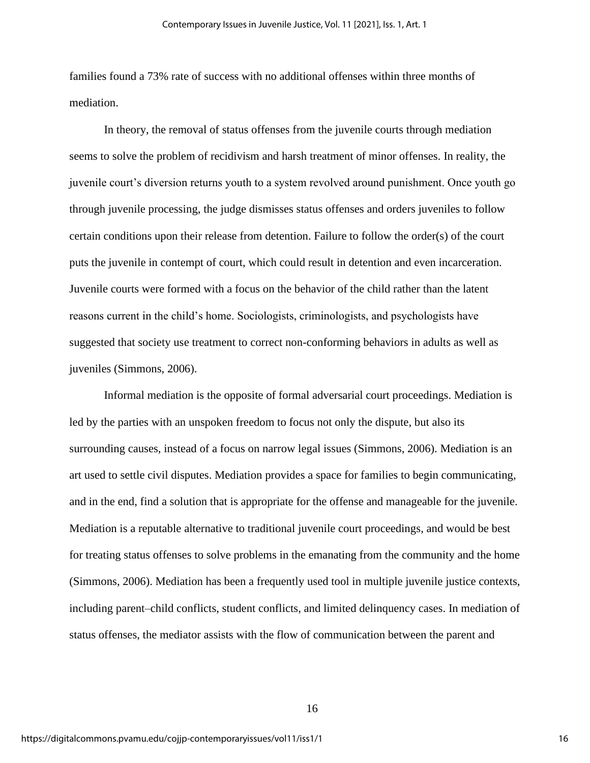families found a 73% rate of success with no additional offenses within three months of mediation.

In theory, the removal of status offenses from the juvenile courts through mediation seems to solve the problem of recidivism and harsh treatment of minor offenses. In reality, the juvenile court's diversion returns youth to a system revolved around punishment. Once youth go through juvenile processing, the judge dismisses status offenses and orders juveniles to follow certain conditions upon their release from detention. Failure to follow the order(s) of the court puts the juvenile in contempt of court, which could result in detention and even incarceration. Juvenile courts were formed with a focus on the behavior of the child rather than the latent reasons current in the child's home. Sociologists, criminologists, and psychologists have suggested that society use treatment to correct non-conforming behaviors in adults as well as juveniles (Simmons, 2006).

Informal mediation is the opposite of formal adversarial court proceedings. Mediation is led by the parties with an unspoken freedom to focus not only the dispute, but also its surrounding causes, instead of a focus on narrow legal issues (Simmons, 2006). Mediation is an art used to settle civil disputes. Mediation provides a space for families to begin communicating, and in the end, find a solution that is appropriate for the offense and manageable for the juvenile. Mediation is a reputable alternative to traditional juvenile court proceedings, and would be best for treating status offenses to solve problems in the emanating from the community and the home (Simmons, 2006). Mediation has been a frequently used tool in multiple juvenile justice contexts, including parent–child conflicts, student conflicts, and limited delinquency cases. In mediation of status offenses, the mediator assists with the flow of communication between the parent and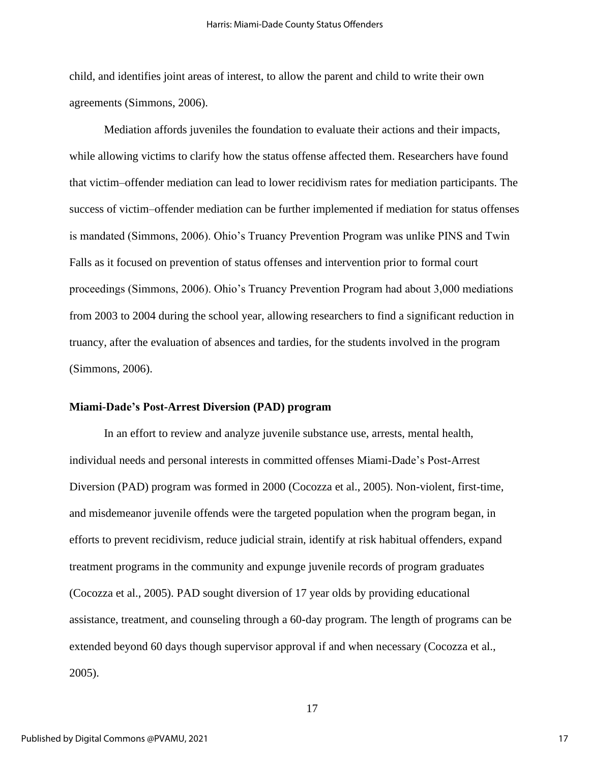child, and identifies joint areas of interest, to allow the parent and child to write their own agreements (Simmons, 2006).

Mediation affords juveniles the foundation to evaluate their actions and their impacts, while allowing victims to clarify how the status offense affected them. Researchers have found that victim–offender mediation can lead to lower recidivism rates for mediation participants. The success of victim–offender mediation can be further implemented if mediation for status offenses is mandated (Simmons, 2006). Ohio's Truancy Prevention Program was unlike PINS and Twin Falls as it focused on prevention of status offenses and intervention prior to formal court proceedings (Simmons, 2006). Ohio's Truancy Prevention Program had about 3,000 mediations from 2003 to 2004 during the school year, allowing researchers to find a significant reduction in truancy, after the evaluation of absences and tardies, for the students involved in the program (Simmons, 2006).

### **Miami-Dade's Post-Arrest Diversion (PAD) program**

In an effort to review and analyze juvenile substance use, arrests, mental health, individual needs and personal interests in committed offenses Miami-Dade's Post-Arrest Diversion (PAD) program was formed in 2000 (Cocozza et al., 2005). Non-violent, first-time, and misdemeanor juvenile offends were the targeted population when the program began, in efforts to prevent recidivism, reduce judicial strain, identify at risk habitual offenders, expand treatment programs in the community and expunge juvenile records of program graduates (Cocozza et al., 2005). PAD sought diversion of 17 year olds by providing educational assistance, treatment, and counseling through a 60-day program. The length of programs can be extended beyond 60 days though supervisor approval if and when necessary (Cocozza et al., 2005).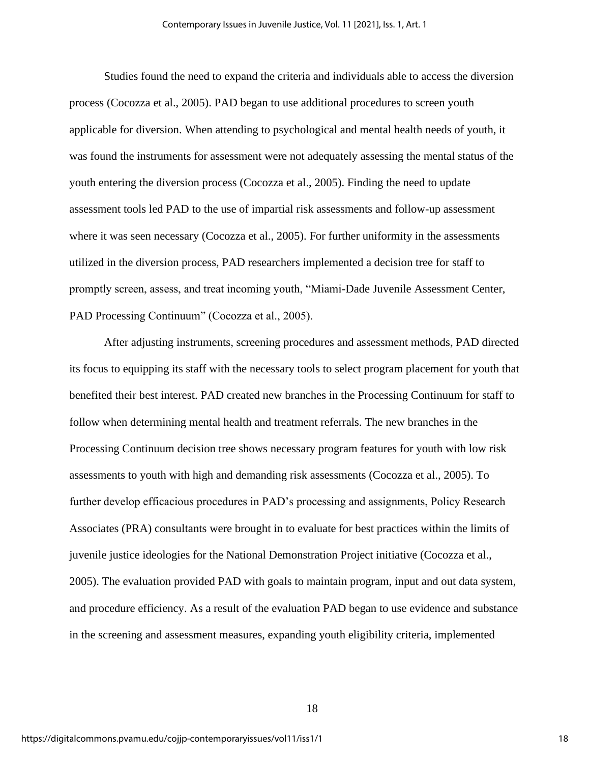Studies found the need to expand the criteria and individuals able to access the diversion process (Cocozza et al., 2005). PAD began to use additional procedures to screen youth applicable for diversion. When attending to psychological and mental health needs of youth, it was found the instruments for assessment were not adequately assessing the mental status of the youth entering the diversion process (Cocozza et al., 2005). Finding the need to update assessment tools led PAD to the use of impartial risk assessments and follow-up assessment where it was seen necessary (Cocozza et al., 2005). For further uniformity in the assessments utilized in the diversion process, PAD researchers implemented a decision tree for staff to promptly screen, assess, and treat incoming youth, "Miami-Dade Juvenile Assessment Center, PAD Processing Continuum" (Cocozza et al., 2005).

After adjusting instruments, screening procedures and assessment methods, PAD directed its focus to equipping its staff with the necessary tools to select program placement for youth that benefited their best interest. PAD created new branches in the Processing Continuum for staff to follow when determining mental health and treatment referrals. The new branches in the Processing Continuum decision tree shows necessary program features for youth with low risk assessments to youth with high and demanding risk assessments (Cocozza et al., 2005). To further develop efficacious procedures in PAD's processing and assignments, Policy Research Associates (PRA) consultants were brought in to evaluate for best practices within the limits of juvenile justice ideologies for the National Demonstration Project initiative (Cocozza et al., 2005). The evaluation provided PAD with goals to maintain program, input and out data system, and procedure efficiency. As a result of the evaluation PAD began to use evidence and substance in the screening and assessment measures, expanding youth eligibility criteria, implemented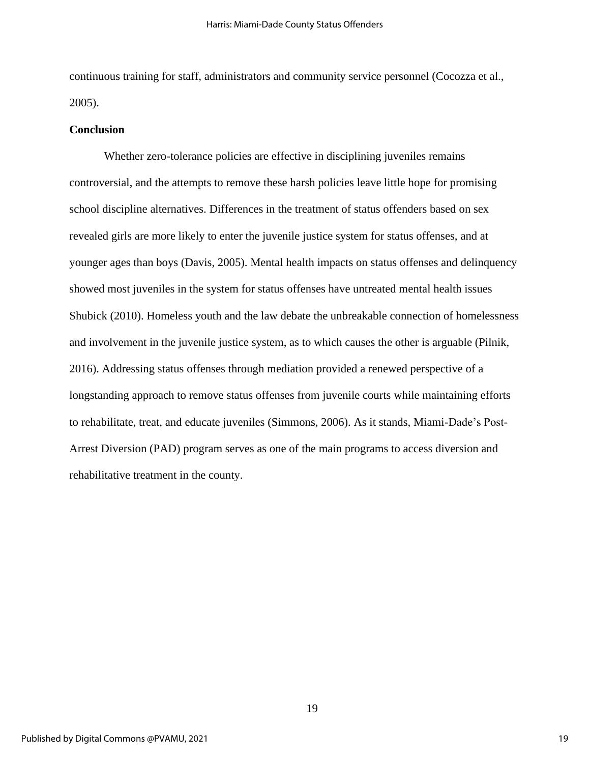continuous training for staff, administrators and community service personnel (Cocozza et al., 2005).

#### **Conclusion**

Whether zero-tolerance policies are effective in disciplining juveniles remains controversial, and the attempts to remove these harsh policies leave little hope for promising school discipline alternatives. Differences in the treatment of status offenders based on sex revealed girls are more likely to enter the juvenile justice system for status offenses, and at younger ages than boys (Davis, 2005). Mental health impacts on status offenses and delinquency showed most juveniles in the system for status offenses have untreated mental health issues Shubick (2010). Homeless youth and the law debate the unbreakable connection of homelessness and involvement in the juvenile justice system, as to which causes the other is arguable (Pilnik, 2016). Addressing status offenses through mediation provided a renewed perspective of a longstanding approach to remove status offenses from juvenile courts while maintaining efforts to rehabilitate, treat, and educate juveniles (Simmons, 2006). As it stands, Miami-Dade's Post-Arrest Diversion (PAD) program serves as one of the main programs to access diversion and rehabilitative treatment in the county.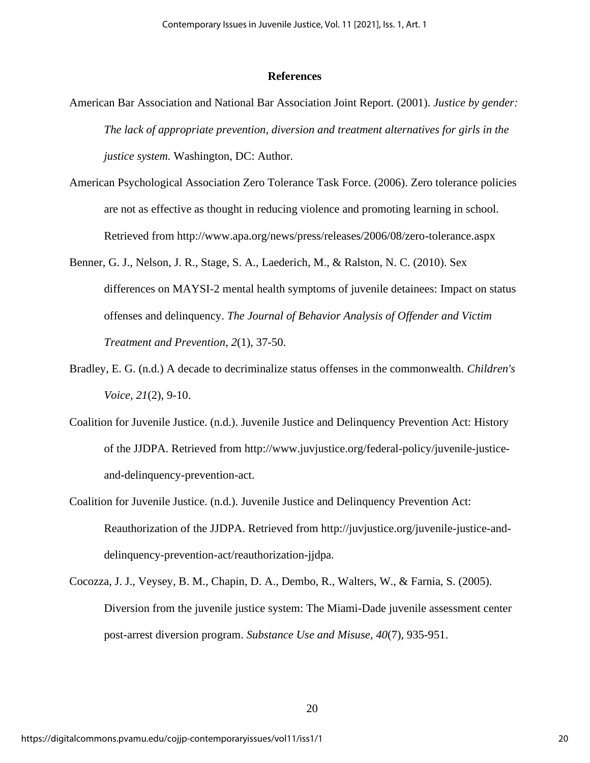### **References**

- American Bar Association and National Bar Association Joint Report. (2001). *Justice by gender: The lack of appropriate prevention, diversion and treatment alternatives for girls in the justice system.* Washington, DC: Author.
- American Psychological Association Zero Tolerance Task Force. (2006). Zero tolerance policies are not as effective as thought in reducing violence and promoting learning in school. Retrieved from http://www.apa.org/news/press/releases/2006/08/zero-tolerance.aspx
- Benner, G. J., Nelson, J. R., Stage, S. A., Laederich, M., & Ralston, N. C. (2010). Sex differences on MAYSI-2 mental health symptoms of juvenile detainees: Impact on status offenses and delinquency. *The Journal of Behavior Analysis of Offender and Victim Treatment and Prevention*, *2*(1), 37-50.
- Bradley, E. G. (n.d.) A decade to decriminalize status offenses in the commonwealth. *Children's Voice*, *21*(2), 9-10.
- Coalition for Juvenile Justice. (n.d.). Juvenile Justice and Delinquency Prevention Act: History of the JJDPA. Retrieved from http://www.juvjustice.org/federal-policy/juvenile-justiceand-delinquency-prevention-act.
- Coalition for Juvenile Justice. (n.d.). Juvenile Justice and Delinquency Prevention Act: Reauthorization of the JJDPA. Retrieved from http://juvjustice.org/juvenile-justice-anddelinquency-prevention-act/reauthorization-jjdpa.
- Cocozza, J. J., Veysey, B. M., Chapin, D. A., Dembo, R., Walters, W., & Farnia, S. (2005). Diversion from the juvenile justice system: The Miami-Dade juvenile assessment center post-arrest diversion program. *Substance Use and Misuse, 40*(7), 935-951.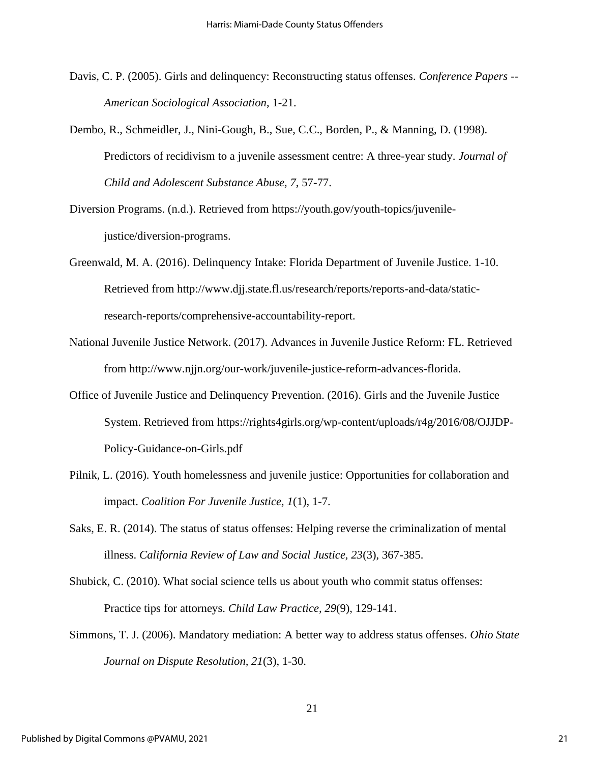- Davis, C. P. (2005). Girls and delinquency: Reconstructing status offenses. *Conference Papers -- American Sociological Association*, 1-21.
- Dembo, R., Schmeidler, J., Nini-Gough, B., Sue, C.C., Borden, P., & Manning, D. (1998). Predictors of recidivism to a juvenile assessment centre: A three-year study. *Journal of Child and Adolescent Substance Abuse, 7*, 57-77.
- Diversion Programs. (n.d.). Retrieved from https://youth.gov/youth-topics/juvenilejustice/diversion-programs.
- Greenwald, M. A. (2016). Delinquency Intake: Florida Department of Juvenile Justice. 1-10. Retrieved from http://www.djj.state.fl.us/research/reports/reports-and-data/staticresearch-reports/comprehensive-accountability-report.
- National Juvenile Justice Network. (2017). Advances in Juvenile Justice Reform: FL. Retrieved from http://www.njjn.org/our-work/juvenile-justice-reform-advances-florida.
- Office of Juvenile Justice and Delinquency Prevention. (2016). Girls and the Juvenile Justice System. Retrieved from https://rights4girls.org/wp-content/uploads/r4g/2016/08/OJJDP-Policy-Guidance-on-Girls.pdf
- Pilnik, L. (2016). Youth homelessness and juvenile justice: Opportunities for collaboration and impact. *Coalition For Juvenile Justice, 1*(1), 1-7.
- Saks, E. R. (2014). The status of status offenses: Helping reverse the criminalization of mental illness. *California Review of Law and Social Justice, 23*(3), 367-385.
- Shubick, C. (2010). What social science tells us about youth who commit status offenses: Practice tips for attorneys. *Child Law Practice, 29*(9), 129-141.
- Simmons, T. J. (2006). Mandatory mediation: A better way to address status offenses. *Ohio State Journal on Dispute Resolution, 21*(3), 1-30.